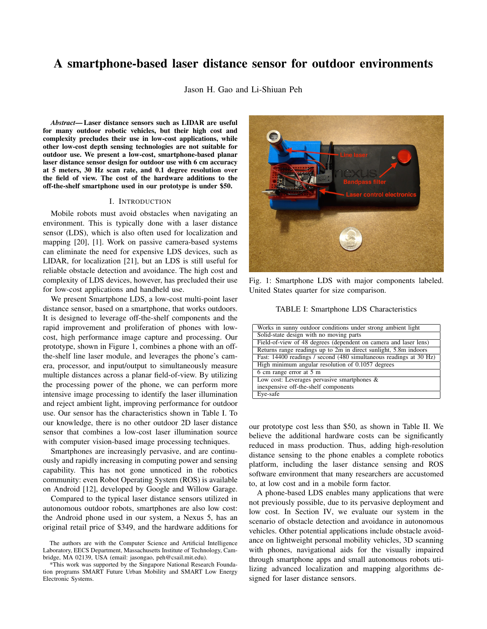# A smartphone-based laser distance sensor for outdoor environments

Jason H. Gao and Li-Shiuan Peh

*Abstract*— Laser distance sensors such as LIDAR are useful for many outdoor robotic vehicles, but their high cost and complexity precludes their use in low-cost applications, while other low-cost depth sensing technologies are not suitable for outdoor use. We present a low-cost, smartphone-based planar laser distance sensor design for outdoor use with 6 cm accuracy at 5 meters, 30 Hz scan rate, and 0.1 degree resolution over the field of view. The cost of the hardware additions to the off-the-shelf smartphone used in our prototype is under \$50.

## I. INTRODUCTION

Mobile robots must avoid obstacles when navigating an environment. This is typically done with a laser distance sensor (LDS), which is also often used for localization and mapping [20], [1]. Work on passive camera-based systems can eliminate the need for expensive LDS devices, such as LIDAR, for localization [21], but an LDS is still useful for reliable obstacle detection and avoidance. The high cost and complexity of LDS devices, however, has precluded their use for low-cost applications and handheld use.

We present Smartphone LDS, a low-cost multi-point laser distance sensor, based on a smartphone, that works outdoors. It is designed to leverage off-the-shelf components and the rapid improvement and proliferation of phones with lowcost, high performance image capture and processing. Our prototype, shown in Figure 1, combines a phone with an offthe-shelf line laser module, and leverages the phone's camera, processor, and input/output to simultaneously measure multiple distances across a planar field-of-view. By utilizing the processing power of the phone, we can perform more intensive image processing to identify the laser illumination and reject ambient light, improving performance for outdoor use. Our sensor has the characteristics shown in Table I. To our knowledge, there is no other outdoor 2D laser distance sensor that combines a low-cost laser illumination source with computer vision-based image processing techniques.

Smartphones are increasingly pervasive, and are continuously and rapidly increasing in computing power and sensing capability. This has not gone unnoticed in the robotics community: even Robot Operating System (ROS) is available on Android [12], developed by Google and Willow Garage.

Compared to the typical laser distance sensors utilized in autonomous outdoor robots, smartphones are also low cost: the Android phone used in our system, a Nexus 5, has an original retail price of \$349, and the hardware additions for



Fig. 1: Smartphone LDS with major components labeled. United States quarter for size comparison.

TABLE I: Smartphone LDS Characteristics

| Works in sunny outdoor conditions under strong ambient light                          |  |  |
|---------------------------------------------------------------------------------------|--|--|
| Solid-state design with no moving parts                                               |  |  |
| Field-of-view of 48 degrees (dependent on camera and laser lens)                      |  |  |
| Returns range readings up to 2m in direct sunlight, 5.8m indoors                      |  |  |
| Fast: 14400 readings / second $(480 \text{ simultaneous readings at } 30 \text{ Hz})$ |  |  |
| High minimum angular resolution of 0.1057 degrees                                     |  |  |
| 6 cm range error at 5 m                                                               |  |  |
| Low cost: Leverages pervasive smartphones $\&$                                        |  |  |
| inexpensive off-the-shelf components                                                  |  |  |
| Eye-safe                                                                              |  |  |

our prototype cost less than \$50, as shown in Table II. We believe the additional hardware costs can be significantly reduced in mass production. Thus, adding high-resolution distance sensing to the phone enables a complete robotics platform, including the laser distance sensing and ROS software environment that many researchers are accustomed to, at low cost and in a mobile form factor.

A phone-based LDS enables many applications that were not previously possible, due to its pervasive deployment and low cost. In Section IV, we evaluate our system in the scenario of obstacle detection and avoidance in autonomous vehicles. Other potential applications include obstacle avoidance on lightweight personal mobility vehicles, 3D scanning with phones, navigational aids for the visually impaired through smartphone apps and small autonomous robots utilizing advanced localization and mapping algorithms designed for laser distance sensors.

The authors are with the Computer Science and Artificial Intelligence Laboratory, EECS Department, Massachusetts Institute of Technology, Cambridge, MA 02139, USA (email: jasongao, peh@csail.mit.edu).

<sup>\*</sup>This work was supported by the Singapore National Research Foundation programs SMART Future Urban Mobility and SMART Low Energy Electronic Systems.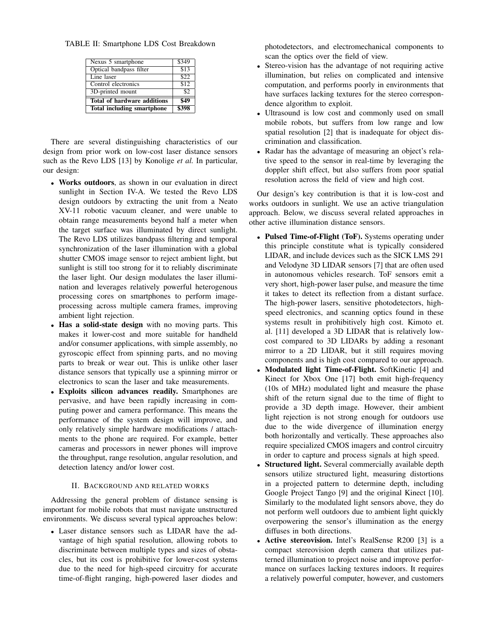TABLE II: Smartphone LDS Cost Breakdown

| <b>Total of hardware additions</b><br><b>Total including smartphone</b> | \$49<br>398      |
|-------------------------------------------------------------------------|------------------|
| 3D-printed mount                                                        | \$2              |
| Control electronics                                                     | $\overline{$12}$ |
| Line laser                                                              | \$22             |
| Optical bandpass filter                                                 | \$13             |
| Nexus 5 smartphone                                                      | \$349            |

There are several distinguishing characteristics of our design from prior work on low-cost laser distance sensors such as the Revo LDS [13] by Konolige *et al.* In particular, our design:

- Works outdoors, as shown in our evaluation in direct sunlight in Section IV-A. We tested the Revo LDS design outdoors by extracting the unit from a Neato XV-11 robotic vacuum cleaner, and were unable to obtain range measurements beyond half a meter when the target surface was illuminated by direct sunlight. The Revo LDS utilizes bandpass filtering and temporal synchronization of the laser illumination with a global shutter CMOS image sensor to reject ambient light, but sunlight is still too strong for it to reliably discriminate the laser light. Our design modulates the laser illumination and leverages relatively powerful heterogenous processing cores on smartphones to perform imageprocessing across multiple camera frames, improving ambient light rejection.
- Has a solid-state design with no moving parts. This makes it lower-cost and more suitable for handheld and/or consumer applications, with simple assembly, no gyroscopic effect from spinning parts, and no moving parts to break or wear out. This is unlike other laser distance sensors that typically use a spinning mirror or electronics to scan the laser and take measurements.
- Exploits silicon advances readily. Smartphones are pervasive, and have been rapidly increasing in computing power and camera performance. This means the performance of the system design will improve, and only relatively simple hardware modifications / attachments to the phone are required. For example, better cameras and processors in newer phones will improve the throughput, range resolution, angular resolution, and detection latency and/or lower cost.

## II. BACKGROUND AND RELATED WORKS

Addressing the general problem of distance sensing is important for mobile robots that must navigate unstructured environments. We discuss several typical approaches below:

• Laser distance sensors such as LIDAR have the advantage of high spatial resolution, allowing robots to discriminate between multiple types and sizes of obstacles, but its cost is prohibitive for lower-cost systems due to the need for high-speed circuitry for accurate time-of-flight ranging, high-powered laser diodes and photodetectors, and electromechanical components to scan the optics over the field of view.

- Stereo-vision has the advantage of not requiring active illumination, but relies on complicated and intensive computation, and performs poorly in environments that have surfaces lacking textures for the stereo correspondence algorithm to exploit.
- Ultrasound is low cost and commonly used on small mobile robots, but suffers from low range and low spatial resolution [2] that is inadequate for object discrimination and classification.
- Radar has the advantage of measuring an object's relative speed to the sensor in real-time by leveraging the doppler shift effect, but also suffers from poor spatial resolution across the field of view and high cost.

Our design's key contribution is that it is low-cost and works outdoors in sunlight. We use an active triangulation approach. Below, we discuss several related approaches in other active illumination distance sensors.

- Pulsed Time-of-Flight (ToF). Systems operating under this principle constitute what is typically considered LIDAR, and include devices such as the SICK LMS 291 and Velodyne 3D LIDAR sensors [7] that are often used in autonomous vehicles research. ToF sensors emit a very short, high-power laser pulse, and measure the time it takes to detect its reflection from a distant surface. The high-power lasers, sensitive photodetectors, highspeed electronics, and scanning optics found in these systems result in prohibitively high cost. Kimoto et. al. [11] developed a 3D LIDAR that is relatively lowcost compared to 3D LIDARs by adding a resonant mirror to a 2D LIDAR, but it still requires moving components and is high cost compared to our approach.
- Modulated light Time-of-Flight. SoftKinetic [4] and Kinect for Xbox One [17] both emit high-frequency (10s of MHz) modulated light and measure the phase shift of the return signal due to the time of flight to provide a 3D depth image. However, their ambient light rejection is not strong enough for outdoors use due to the wide divergence of illumination energy both horizontally and vertically. These approaches also require specialized CMOS imagers and control circuitry in order to capture and process signals at high speed.
- Structured light. Several commercially available depth sensors utilize structured light, measuring distortions in a projected pattern to determine depth, including Google Project Tango [9] and the original Kinect [10]. Similarly to the modulated light sensors above, they do not perform well outdoors due to ambient light quickly overpowering the sensor's illumination as the energy diffuses in both directions.
- Active stereovision. Intel's RealSense R200 [3] is a compact stereovision depth camera that utilizes patterned illumination to project noise and improve performance on surfaces lacking textures indoors. It requires a relatively powerful computer, however, and customers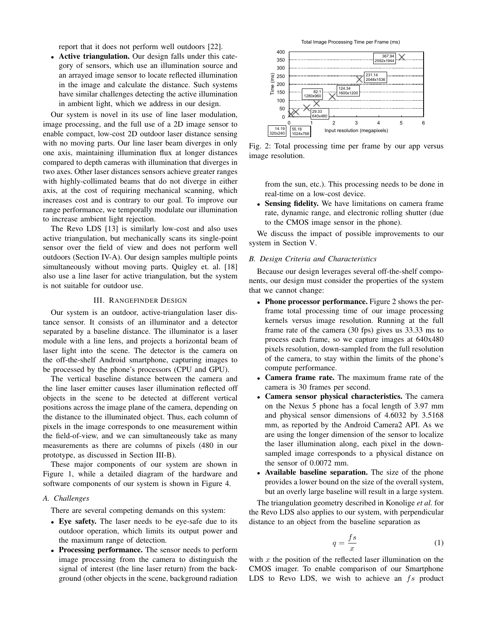report that it does not perform well outdoors [22].

• Active triangulation. Our design falls under this category of sensors, which use an illumination source and an arrayed image sensor to locate reflected illumination in the image and calculate the distance. Such systems have similar challenges detecting the active illumination in ambient light, which we address in our design.

Our system is novel in its use of line laser modulation, image processing, and the full use of a 2D image sensor to enable compact, low-cost 2D outdoor laser distance sensing with no moving parts. Our line laser beam diverges in only one axis, maintaining illumination flux at longer distances compared to depth cameras with illumination that diverges in two axes. Other laser distances sensors achieve greater ranges with highly-collimated beams that do not diverge in either axis, at the cost of requiring mechanical scanning, which increases cost and is contrary to our goal. To improve our range performance, we temporally modulate our illumination to increase ambient light rejection.

The Revo LDS [13] is similarly low-cost and also uses active triangulation, but mechanically scans its single-point sensor over the field of view and does not perform well outdoors (Section IV-A). Our design samples multiple points simultaneously without moving parts. Quigley et. al. [18] also use a line laser for active triangulation, but the system is not suitable for outdoor use.

## III. RANGEFINDER DESIGN

Our system is an outdoor, active-triangulation laser distance sensor. It consists of an illuminator and a detector separated by a baseline distance. The illuminator is a laser module with a line lens, and projects a horizontal beam of laser light into the scene. The detector is the camera on the off-the-shelf Android smartphone, capturing images to be processed by the phone's processors (CPU and GPU).

The vertical baseline distance between the camera and the line laser emitter causes laser illumination reflected off objects in the scene to be detected at different vertical positions across the image plane of the camera, depending on the distance to the illuminated object. Thus, each column of pixels in the image corresponds to one measurement within the field-of-view, and we can simultaneously take as many measurements as there are columns of pixels (480 in our prototype, as discussed in Section III-B).

These major components of our system are shown in Figure 1, while a detailed diagram of the hardware and software components of our system is shown in Figure 4.

# *A. Challenges*

There are several competing demands on this system:

- Eye safety. The laser needs to be eye-safe due to its outdoor operation, which limits its output power and the maximum range of detection.
- Processing performance. The sensor needs to perform image processing from the camera to distinguish the signal of interest (the line laser return) from the background (other objects in the scene, background radiation

Total Image Processing Time per Frame (ms)



Fig. 2: Total processing time per frame by our app versus image resolution.

from the sun, etc.). This processing needs to be done in real-time on a low-cost device.

• Sensing fidelity. We have limitations on camera frame rate, dynamic range, and electronic rolling shutter (due to the CMOS image sensor in the phone).

We discuss the impact of possible improvements to our system in Section V.

#### *B. Design Criteria and Characteristics*

Because our design leverages several off-the-shelf components, our design must consider the properties of the system that we cannot change:

- Phone processor performance. Figure 2 shows the perframe total processing time of our image processing kernels versus image resolution. Running at the full frame rate of the camera (30 fps) gives us 33.33 ms to process each frame, so we capture images at 640x480 pixels resolution, down-sampled from the full resolution of the camera, to stay within the limits of the phone's compute performance.
- Camera frame rate. The maximum frame rate of the camera is 30 frames per second.
- Camera sensor physical characteristics. The camera on the Nexus 5 phone has a focal length of 3.97 mm and physical sensor dimensions of 4.6032 by 3.5168 mm, as reported by the Android Camera2 API. As we are using the longer dimension of the sensor to localize the laser illumination along, each pixel in the downsampled image corresponds to a physical distance on the sensor of 0.0072 mm.
- Available baseline separation. The size of the phone provides a lower bound on the size of the overall system, but an overly large baseline will result in a large system.

The triangulation geometry described in Konolige *et al.* for the Revo LDS also applies to our system, with perpendicular distance to an object from the baseline separation as

$$
q = \frac{fs}{x} \tag{1}
$$

with  $x$  the position of the reflected laser illumination on the CMOS imager. To enable comparison of our Smartphone LDS to Revo LDS, we wish to achieve an  $fs$  product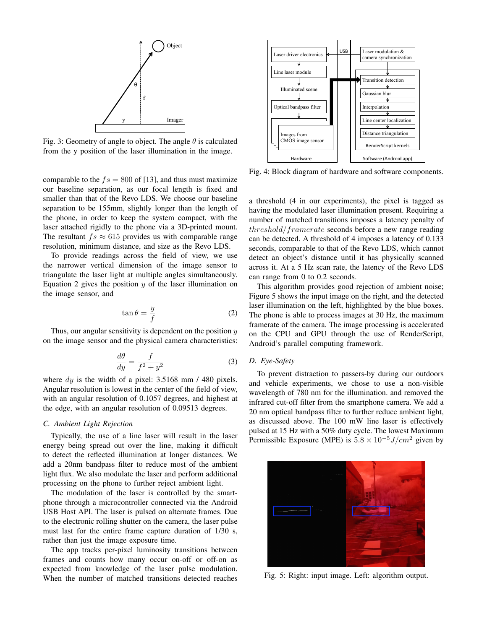

Fig. 3: Geometry of angle to object. The angle  $\theta$  is calculated from the y position of the laser illumination in the image.

comparable to the  $fs = 800$  of [13], and thus must maximize our baseline separation, as our focal length is fixed and smaller than that of the Revo LDS. We choose our baseline separation to be 155mm, slightly longer than the length of the phone, in order to keep the system compact, with the laser attached rigidly to the phone via a 3D-printed mount. The resultant  $fs \approx 615$  provides us with comparable range resolution, minimum distance, and size as the Revo LDS.

To provide readings across the field of view, we use the narrower vertical dimension of the image sensor to triangulate the laser light at multiple angles simultaneously. Equation 2 gives the position  $y$  of the laser illumination on the image sensor, and

$$
\tan \theta = \frac{y}{f} \tag{2}
$$

Thus, our angular sensitivity is dependent on the position  $\eta$ on the image sensor and the physical camera characteristics:

$$
\frac{d\theta}{dy} = \frac{f}{f^2 + y^2} \tag{3}
$$

where  $dy$  is the width of a pixel: 3.5168 mm / 480 pixels. Angular resolution is lowest in the center of the field of view, with an angular resolution of 0.1057 degrees, and highest at the edge, with an angular resolution of 0.09513 degrees.

# *C. Ambient Light Rejection*

Typically, the use of a line laser will result in the laser energy being spread out over the line, making it difficult to detect the reflected illumination at longer distances. We add a 20nm bandpass filter to reduce most of the ambient light flux. We also modulate the laser and perform additional processing on the phone to further reject ambient light.

The modulation of the laser is controlled by the smartphone through a microcontroller connected via the Android USB Host API. The laser is pulsed on alternate frames. Due to the electronic rolling shutter on the camera, the laser pulse must last for the entire frame capture duration of 1/30 s, rather than just the image exposure time.

The app tracks per-pixel luminosity transitions between frames and counts how many occur on-off or off-on as expected from knowledge of the laser pulse modulation. When the number of matched transitions detected reaches



Fig. 4: Block diagram of hardware and software components.

a threshold (4 in our experiments), the pixel is tagged as having the modulated laser illumination present. Requiring a number of matched transitions imposes a latency penalty of threshold/framerate seconds before a new range reading can be detected. A threshold of 4 imposes a latency of 0.133 seconds, comparable to that of the Revo LDS, which cannot detect an object's distance until it has physically scanned across it. At a 5 Hz scan rate, the latency of the Revo LDS can range from 0 to 0.2 seconds.

This algorithm provides good rejection of ambient noise; Figure 5 shows the input image on the right, and the detected laser illumination on the left, highlighted by the blue boxes. The phone is able to process images at 30 Hz, the maximum framerate of the camera. The image processing is accelerated on the CPU and GPU through the use of RenderScript, Android's parallel computing framework.

## *D. Eye-Safety*

To prevent distraction to passers-by during our outdoors and vehicle experiments, we chose to use a non-visible wavelength of 780 nm for the illumination. and removed the infrared cut-off filter from the smartphone camera. We add a 20 nm optical bandpass filter to further reduce ambient light, as discussed above. The 100 mW line laser is effectively pulsed at 15 Hz with a 50% duty cycle. The lowest Maximum Permissible Exposure (MPE) is  $5.8 \times 10^{-5} J/cm^2$  given by



Fig. 5: Right: input image. Left: algorithm output.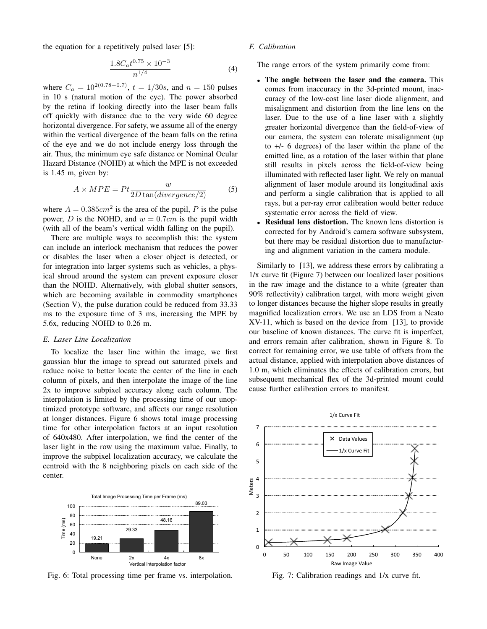the equation for a repetitively pulsed laser [5]:

$$
\frac{1.8C_a t^{0.75} \times 10^{-3}}{n^{1/4}}
$$
 (4)

where  $C_a = 10^{2(0.78 - 0.7)}$ ,  $t = 1/30s$ , and  $n = 150$  pulses in 10 s (natural motion of the eye). The power absorbed by the retina if looking directly into the laser beam falls off quickly with distance due to the very wide 60 degree horizontal divergence. For safety, we assume all of the energy within the vertical divergence of the beam falls on the retina of the eye and we do not include energy loss through the air. Thus, the minimum eye safe distance or Nominal Ocular Hazard Distance (NOHD) at which the MPE is not exceeded is 1.45 m, given by:

$$
A \times MPE = Pt \frac{w}{2D \tan(divergence/2)}
$$
 (5)

where  $A = 0.385 \, \text{cm}^2$  is the area of the pupil, P is the pulse power, D is the NOHD, and  $w = 0.7$ cm is the pupil width (with all of the beam's vertical width falling on the pupil).

There are multiple ways to accomplish this: the system can include an interlock mechanism that reduces the power or disables the laser when a closer object is detected, or for integration into larger systems such as vehicles, a physical shroud around the system can prevent exposure closer than the NOHD. Alternatively, with global shutter sensors, which are becoming available in commodity smartphones (Section V), the pulse duration could be reduced from 33.33 ms to the exposure time of 3 ms, increasing the MPE by 5.6x, reducing NOHD to 0.26 m.

## *E. Laser Line Localization*

To localize the laser line within the image, we first gaussian blur the image to spread out saturated pixels and reduce noise to better locate the center of the line in each column of pixels, and then interpolate the image of the line 2x to improve subpixel accuracy along each column. The interpolation is limited by the processing time of our unoptimized prototype software, and affects our range resolution at longer distances. Figure 6 shows total image processing time for other interpolation factors at an input resolution of 640x480. After interpolation, we find the center of the laser light in the row using the maximum value. Finally, to improve the subpixel localization accuracy, we calculate the centroid with the 8 neighboring pixels on each side of the center.



Fig. 6: Total processing time per frame vs. interpolation.

## *F. Calibration*

The range errors of the system primarily come from:

- The angle between the laser and the camera. This comes from inaccuracy in the 3d-printed mount, inaccuracy of the low-cost line laser diode alignment, and misalignment and distortion from the line lens on the laser. Due to the use of a line laser with a slightly greater horizontal divergence than the field-of-view of our camera, the system can tolerate misalignment (up to +/- 6 degrees) of the laser within the plane of the emitted line, as a rotation of the laser within that plane still results in pixels across the field-of-view being illuminated with reflected laser light. We rely on manual alignment of laser module around its longitudinal axis and perform a single calibration that is applied to all rays, but a per-ray error calibration would better reduce systematic error across the field of view.
- Residual lens distortion. The known lens distortion is corrected for by Android's camera software subsystem, but there may be residual distortion due to manufacturing and alignment variation in the camera module.

Similarly to [13], we address these errors by calibrating a 1/x curve fit (Figure 7) between our localized laser positions in the raw image and the distance to a white (greater than 90% reflectivity) calibration target, with more weight given to longer distances because the higher slope results in greatly magnified localization errors. We use an LDS from a Neato XV-11, which is based on the device from [13], to provide our baseline of known distances. The curve fit is imperfect, and errors remain after calibration, shown in Figure 8. To correct for remaining error, we use table of offsets from the actual distance, applied with interpolation above distances of 1.0 m, which eliminates the effects of calibration errors, but subsequent mechanical flex of the 3d-printed mount could cause further calibration errors to manifest.



Fig. 7: Calibration readings and 1/x curve fit.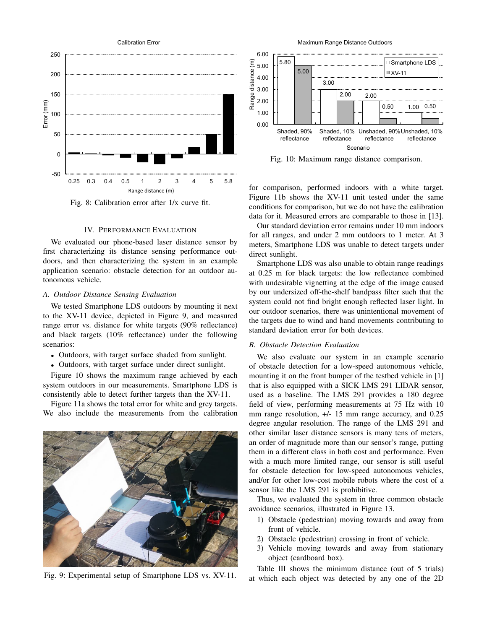250 200 150 Error (mm)  $Error (mm)$ 100 50 0 -50 0.25 0.3 0.4 0.5 1 2 3 4 5 5.8 Range distance (m)

Calibration Error

Fig. 8: Calibration error after 1/x curve fit.

# IV. PERFORMANCE EVALUATION

We evaluated our phone-based laser distance sensor by first characterizing its distance sensing performance outdoors, and then characterizing the system in an example application scenario: obstacle detection for an outdoor autonomous vehicle.

## *A. Outdoor Distance Sensing Evaluation*

We tested Smartphone LDS outdoors by mounting it next to the XV-11 device, depicted in Figure 9, and measured range error vs. distance for white targets (90% reflectance) and black targets (10% reflectance) under the following scenarios:

- Outdoors, with target surface shaded from sunlight.
- Outdoors, with target surface under direct sunlight.

Figure 10 shows the maximum range achieved by each system outdoors in our measurements. Smartphone LDS is consistently able to detect further targets than the XV-11.

Figure 11a shows the total error for white and grey targets. We also include the measurements from the calibration



Fig. 9: Experimental setup of Smartphone LDS vs. XV-11.

Maximum Range Distance Outdoors



Fig. 10: Maximum range distance comparison.

for comparison, performed indoors with a white target. Figure 11b shows the XV-11 unit tested under the same conditions for comparison, but we do not have the calibration data for it. Measured errors are comparable to those in [13].

Our standard deviation error remains under 10 mm indoors for all ranges, and under 2 mm outdoors to 1 meter. At 3 meters, Smartphone LDS was unable to detect targets under direct sunlight.

Smartphone LDS was also unable to obtain range readings at 0.25 m for black targets: the low reflectance combined with undesirable vignetting at the edge of the image caused by our undersized off-the-shelf bandpass filter such that the system could not find bright enough reflected laser light. In our outdoor scenarios, there was unintentional movement of the targets due to wind and hand movements contributing to standard deviation error for both devices.

## *B. Obstacle Detection Evaluation*

We also evaluate our system in an example scenario of obstacle detection for a low-speed autonomous vehicle, mounting it on the front bumper of the testbed vehicle in [1] that is also equipped with a SICK LMS 291 LIDAR sensor, used as a baseline. The LMS 291 provides a 180 degree field of view, performing measurements at 75 Hz with 10 mm range resolution,  $+/- 15$  mm range accuracy, and 0.25 degree angular resolution. The range of the LMS 291 and other similar laser distance sensors is many tens of meters, an order of magnitude more than our sensor's range, putting them in a different class in both cost and performance. Even with a much more limited range, our sensor is still useful for obstacle detection for low-speed autonomous vehicles, and/or for other low-cost mobile robots where the cost of a sensor like the LMS 291 is prohibitive.

Thus, we evaluated the system in three common obstacle avoidance scenarios, illustrated in Figure 13.

- 1) Obstacle (pedestrian) moving towards and away from front of vehicle.
- 2) Obstacle (pedestrian) crossing in front of vehicle.
- 3) Vehicle moving towards and away from stationary object (cardboard box).

Table III shows the minimum distance (out of 5 trials) at which each object was detected by any one of the 2D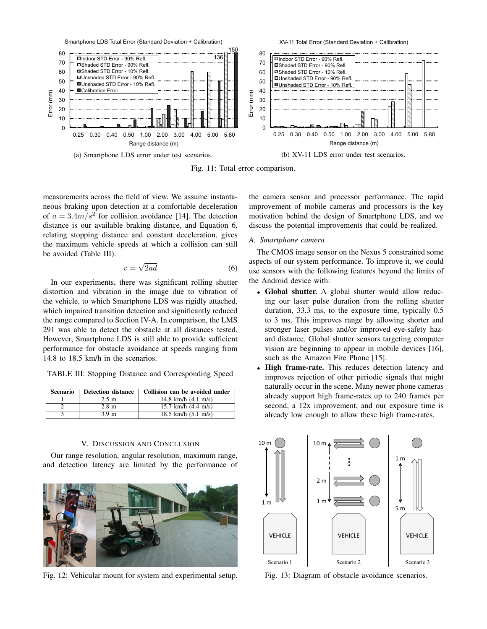

Fig. 11: Total error comparison.

measurements across the field of view. We assume instantaneous braking upon detection at a comfortable deceleration of  $a = 3.4m/s^2$  for collision avoidance [14]. The detection distance is our available braking distance, and Equation 6, relating stopping distance and constant deceleration, gives the maximum vehicle speeds at which a collision can still be avoided (Table III).

$$
v = \sqrt{2ad} \tag{6}
$$

In our experiments, there was significant rolling shutter distortion and vibration in the image due to vibration of the vehicle, to which Smartphone LDS was rigidly attached, which impaired transition detection and significantly reduced the range compared to Section IV-A. In comparison, the LMS 291 was able to detect the obstacle at all distances tested. However, Smartphone LDS is still able to provide sufficient performance for obstacle avoidance at speeds ranging from 14.8 to 18.5 km/h in the scenarios.

TABLE III: Stopping Distance and Corresponding Speed

| <b>Scenario</b> | <b>Detection distance</b> | Collision can be avoided under |
|-----------------|---------------------------|--------------------------------|
|                 | $2.5 \text{ m}$           | 14.8 km/h $(4.1 \text{ m/s})$  |
|                 | $2.8 \text{ m}$           | 15.7 km/h $(4.4 \text{ m/s})$  |
|                 | 3.9 m                     | 18.5 km/h $(5.1 \text{ m/s})$  |

#### V. DISCUSSION AND CONCLUSION

Our range resolution, angular resolution, maximum range, and detection latency are limited by the performance of



Fig. 12: Vehicular mount for system and experimental setup.

the camera sensor and processor performance. The rapid improvement of mobile cameras and processors is the key motivation behind the design of Smartphone LDS, and we discuss the potential improvements that could be realized.

## *A. Smartphone camera*

The CMOS image sensor on the Nexus 5 constrained some aspects of our system performance. To improve it, we could use sensors with the following features beyond the limits of the Android device with:

- Global shutter. A global shutter would allow reducing our laser pulse duration from the rolling shutter duration, 33.3 ms, to the exposure time, typically 0.5 to 3 ms. This improves range by allowing shorter and stronger laser pulses and/or improved eye-safety hazard distance. Global shutter sensors targeting computer vision are beginning to appear in mobile devices [16], such as the Amazon Fire Phone [15].
- High frame-rate. This reduces detection latency and improves rejection of other periodic signals that might naturally occur in the scene. Many newer phone cameras already support high frame-rates up to 240 frames per second, a 12x improvement, and our exposure time is already low enough to allow these high frame-rates.



Fig. 13: Diagram of obstacle avoidance scenarios.